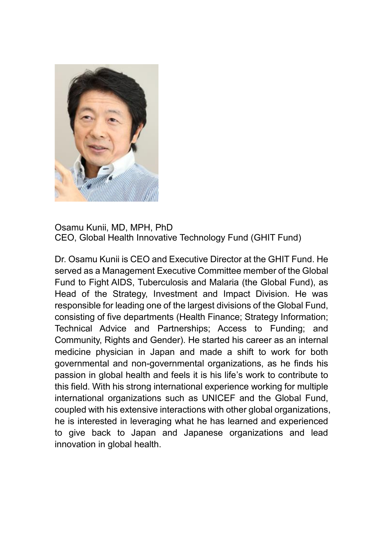

Osamu Kunii, MD, MPH, PhD CEO, Global Health Innovative Technology Fund (GHIT Fund)

Dr. Osamu Kunii is CEO and Executive Director at the GHIT Fund. He served as a Management Executive Committee member of the Global Fund to Fight AIDS, Tuberculosis and Malaria (the Global Fund), as Head of the Strategy, Investment and Impact Division. He was responsible for leading one of the largest divisions of the Global Fund, consisting of five departments (Health Finance; Strategy Information; Technical Advice and Partnerships; Access to Funding; and Community, Rights and Gender). He started his career as an internal medicine physician in Japan and made a shift to work for both governmental and non-governmental organizations, as he finds his passion in global health and feels it is his life's work to contribute to this field. With his strong international experience working for multiple international organizations such as UNICEF and the Global Fund, coupled with his extensive interactions with other global organizations, he is interested in leveraging what he has learned and experienced to give back to Japan and Japanese organizations and lead innovation in global health.